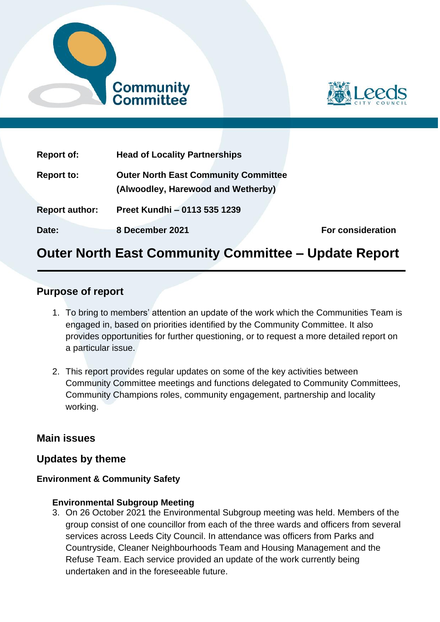



| <b>Report of:</b>     | <b>Head of Locality Partnerships</b>                                              |                          |
|-----------------------|-----------------------------------------------------------------------------------|--------------------------|
| <b>Report to:</b>     | <b>Outer North East Community Committee</b><br>(Alwoodley, Harewood and Wetherby) |                          |
| <b>Report author:</b> | Preet Kundhi - 0113 535 1239                                                      |                          |
| Date:                 | 8 December 2021                                                                   | <b>For consideration</b> |

# **Outer North East Community Committee – Update Report**

# **Purpose of report**

- 1. To bring to members' attention an update of the work which the Communities Team is engaged in, based on priorities identified by the Community Committee. It also provides opportunities for further questioning, or to request a more detailed report on a particular issue.
- 2. This report provides regular updates on some of the key activities between Community Committee meetings and functions delegated to Community Committees, Community Champions roles, community engagement, partnership and locality working.

# **Main issues**

# **Updates by theme**

# **Environment & Community Safety**

#### **Environmental Subgroup Meeting**

3. On 26 October 2021 the Environmental Subgroup meeting was held. Members of the group consist of one councillor from each of the three wards and officers from several services across Leeds City Council. In attendance was officers from Parks and Countryside, Cleaner Neighbourhoods Team and Housing Management and the Refuse Team. Each service provided an update of the work currently being undertaken and in the foreseeable future.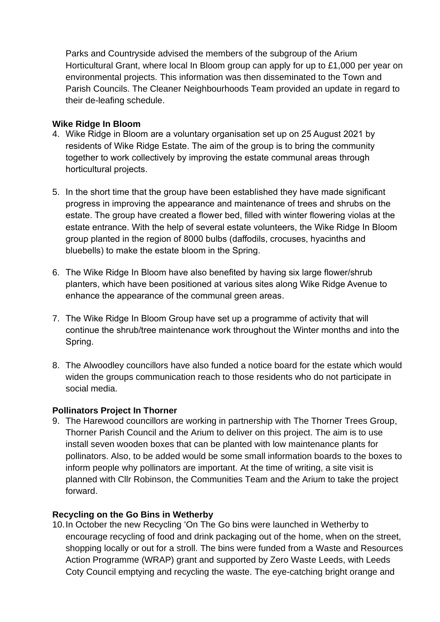Parks and Countryside advised the members of the subgroup of the Arium Horticultural Grant, where local In Bloom group can apply for up to £1,000 per year on environmental projects. This information was then disseminated to the Town and Parish Councils. The Cleaner Neighbourhoods Team provided an update in regard to their de-leafing schedule.

### **Wike Ridge In Bloom**

- 4. Wike Ridge in Bloom are a voluntary organisation set up on 25 August 2021 by residents of Wike Ridge Estate. The aim of the group is to bring the community together to work collectively by improving the estate communal areas through horticultural projects.
- 5. In the short time that the group have been established they have made significant progress in improving the appearance and maintenance of trees and shrubs on the estate. The group have created a flower bed, filled with winter flowering violas at the estate entrance. With the help of several estate volunteers, the Wike Ridge In Bloom group planted in the region of 8000 bulbs (daffodils, crocuses, hyacinths and bluebells) to make the estate bloom in the Spring.
- 6. The Wike Ridge In Bloom have also benefited by having six large flower/shrub planters, which have been positioned at various sites along Wike Ridge Avenue to enhance the appearance of the communal green areas.
- 7. The Wike Ridge In Bloom Group have set up a programme of activity that will continue the shrub/tree maintenance work throughout the Winter months and into the Spring.
- 8. The Alwoodley councillors have also funded a notice board for the estate which would widen the groups communication reach to those residents who do not participate in social media.

# **Pollinators Project In Thorner**

9. The Harewood councillors are working in partnership with The Thorner Trees Group, Thorner Parish Council and the Arium to deliver on this project. The aim is to use install seven wooden boxes that can be planted with low maintenance plants for pollinators. Also, to be added would be some small information boards to the boxes to inform people why pollinators are important. At the time of writing, a site visit is planned with Cllr Robinson, the Communities Team and the Arium to take the project forward.

#### **Recycling on the Go Bins in Wetherby**

10.In October the new Recycling 'On The Go bins were launched in Wetherby to encourage recycling of food and drink packaging out of the home, when on the street, shopping locally or out for a stroll. The bins were funded from a Waste and Resources Action Programme (WRAP) grant and supported by Zero Waste Leeds, with Leeds Coty Council emptying and recycling the waste. The eye-catching bright orange and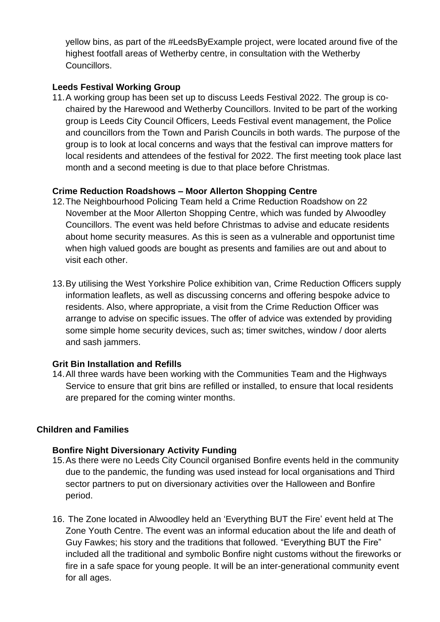yellow bins, as part of the #LeedsByExample project, were located around five of the highest footfall areas of Wetherby centre, in consultation with the Wetherby Councillors.

# **Leeds Festival Working Group**

11.A working group has been set up to discuss Leeds Festival 2022. The group is cochaired by the Harewood and Wetherby Councillors. Invited to be part of the working group is Leeds City Council Officers, Leeds Festival event management, the Police and councillors from the Town and Parish Councils in both wards. The purpose of the group is to look at local concerns and ways that the festival can improve matters for local residents and attendees of the festival for 2022. The first meeting took place last month and a second meeting is due to that place before Christmas.

# **Crime Reduction Roadshows – Moor Allerton Shopping Centre**

- 12.The Neighbourhood Policing Team held a Crime Reduction Roadshow on 22 November at the Moor Allerton Shopping Centre, which was funded by Alwoodley Councillors. The event was held before Christmas to advise and educate residents about home security measures. As this is seen as a vulnerable and opportunist time when high valued goods are bought as presents and families are out and about to visit each other.
- 13.By utilising the West Yorkshire Police exhibition van, Crime Reduction Officers supply information leaflets, as well as discussing concerns and offering bespoke advice to residents. Also, where appropriate, a visit from the Crime Reduction Officer was arrange to advise on specific issues. The offer of advice was extended by providing some simple home security devices, such as; timer switches, window / door alerts and sash jammers.

# **Grit Bin Installation and Refills**

14.All three wards have been working with the Communities Team and the Highways Service to ensure that grit bins are refilled or installed, to ensure that local residents are prepared for the coming winter months.

# **Children and Families**

# **Bonfire Night Diversionary Activity Funding**

- 15.As there were no Leeds City Council organised Bonfire events held in the community due to the pandemic, the funding was used instead for local organisations and Third sector partners to put on diversionary activities over the Halloween and Bonfire period.
- 16. The Zone located in Alwoodley held an 'Everything BUT the Fire' event held at The Zone Youth Centre. The event was an informal education about the life and death of Guy Fawkes; his story and the traditions that followed. "Everything BUT the Fire" included all the traditional and symbolic Bonfire night customs without the fireworks or fire in a safe space for young people. It will be an inter-generational community event for all ages.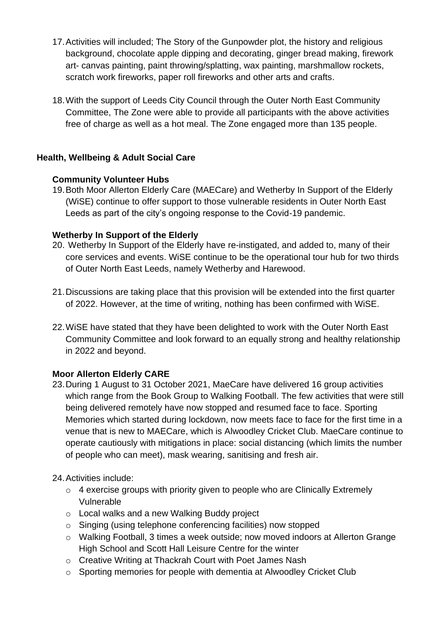- 17.Activities will included; The Story of the Gunpowder plot, the history and religious background, chocolate apple dipping and decorating, ginger bread making, firework art- canvas painting, paint throwing/splatting, wax painting, marshmallow rockets, scratch work fireworks, paper roll fireworks and other arts and crafts.
- 18.With the support of Leeds City Council through the Outer North East Community Committee, The Zone were able to provide all participants with the above activities free of charge as well as a hot meal. The Zone engaged more than 135 people.

# **Health, Wellbeing & Adult Social Care**

# **Community Volunteer Hubs**

19.Both Moor Allerton Elderly Care (MAECare) and Wetherby In Support of the Elderly (WiSE) continue to offer support to those vulnerable residents in Outer North East Leeds as part of the city's ongoing response to the Covid-19 pandemic.

# **Wetherby In Support of the Elderly**

- 20. Wetherby In Support of the Elderly have re-instigated, and added to, many of their core services and events. WiSE continue to be the operational tour hub for two thirds of Outer North East Leeds, namely Wetherby and Harewood.
- 21.Discussions are taking place that this provision will be extended into the first quarter of 2022. However, at the time of writing, nothing has been confirmed with WiSE.
- 22.WiSE have stated that they have been delighted to work with the Outer North East Community Committee and look forward to an equally strong and healthy relationship in 2022 and beyond.

# **Moor Allerton Elderly CARE**

23.During 1 August to 31 October 2021, MaeCare have delivered 16 group activities which range from the Book Group to Walking Football. The few activities that were still being delivered remotely have now stopped and resumed face to face. Sporting Memories which started during lockdown, now meets face to face for the first time in a venue that is new to MAECare, which is Alwoodley Cricket Club. MaeCare continue to operate cautiously with mitigations in place: social distancing (which limits the number of people who can meet), mask wearing, sanitising and fresh air.

# 24.Activities include:

- $\circ$  4 exercise groups with priority given to people who are Clinically Extremely Vulnerable
- o Local walks and a new Walking Buddy project
- o Singing (using telephone conferencing facilities) now stopped
- o Walking Football, 3 times a week outside; now moved indoors at Allerton Grange High School and Scott Hall Leisure Centre for the winter
- o Creative Writing at Thackrah Court with Poet James Nash
- o Sporting memories for people with dementia at Alwoodley Cricket Club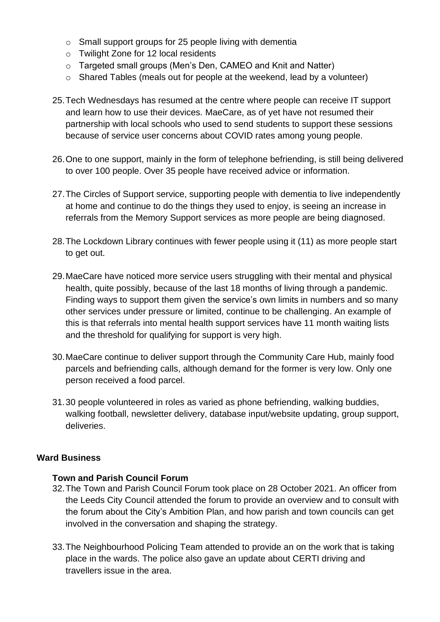- o Small support groups for 25 people living with dementia
- o Twilight Zone for 12 local residents
- o Targeted small groups (Men's Den, CAMEO and Knit and Natter)
- o Shared Tables (meals out for people at the weekend, lead by a volunteer)
- 25.Tech Wednesdays has resumed at the centre where people can receive IT support and learn how to use their devices. MaeCare, as of yet have not resumed their partnership with local schools who used to send students to support these sessions because of service user concerns about COVID rates among young people.
- 26.One to one support, mainly in the form of telephone befriending, is still being delivered to over 100 people. Over 35 people have received advice or information.
- 27.The Circles of Support service, supporting people with dementia to live independently at home and continue to do the things they used to enjoy, is seeing an increase in referrals from the Memory Support services as more people are being diagnosed.
- 28.The Lockdown Library continues with fewer people using it (11) as more people start to get out.
- 29.MaeCare have noticed more service users struggling with their mental and physical health, quite possibly, because of the last 18 months of living through a pandemic. Finding ways to support them given the service's own limits in numbers and so many other services under pressure or limited, continue to be challenging. An example of this is that referrals into mental health support services have 11 month waiting lists and the threshold for qualifying for support is very high.
- 30.MaeCare continue to deliver support through the Community Care Hub, mainly food parcels and befriending calls, although demand for the former is very low. Only one person received a food parcel.
- 31.30 people volunteered in roles as varied as phone befriending, walking buddies, walking football, newsletter delivery, database input/website updating, group support, deliveries.

#### **Ward Business**

#### **Town and Parish Council Forum**

- 32.The Town and Parish Council Forum took place on 28 October 2021. An officer from the Leeds City Council attended the forum to provide an overview and to consult with the forum about the City's Ambition Plan, and how parish and town councils can get involved in the conversation and shaping the strategy.
- 33.The Neighbourhood Policing Team attended to provide an on the work that is taking place in the wards. The police also gave an update about CERTI driving and travellers issue in the area.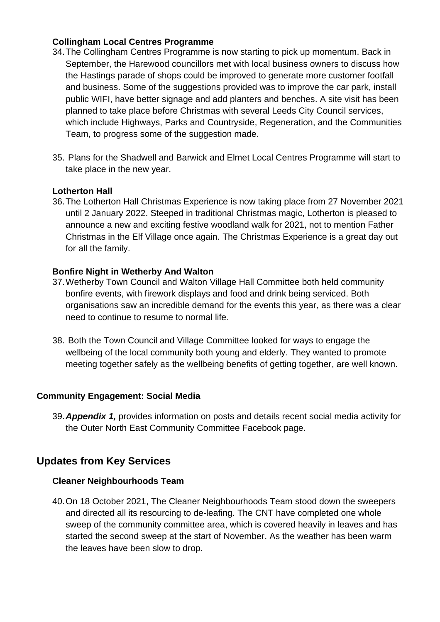### **Collingham Local Centres Programme**

- 34.The Collingham Centres Programme is now starting to pick up momentum. Back in September, the Harewood councillors met with local business owners to discuss how the Hastings parade of shops could be improved to generate more customer footfall and business. Some of the suggestions provided was to improve the car park, install public WIFI, have better signage and add planters and benches. A site visit has been planned to take place before Christmas with several Leeds City Council services, which include Highways, Parks and Countryside, Regeneration, and the Communities Team, to progress some of the suggestion made.
- 35. Plans for the Shadwell and Barwick and Elmet Local Centres Programme will start to take place in the new year.

### **Lotherton Hall**

36.The Lotherton Hall Christmas Experience is now taking place from 27 November 2021 until 2 January 2022. Steeped in traditional Christmas magic, Lotherton is pleased to announce a new and exciting festive woodland walk for 2021, not to mention Father Christmas in the Elf Village once again. The Christmas Experience is a great day out for all the family.

#### **Bonfire Night in Wetherby And Walton**

- 37.Wetherby Town Council and Walton Village Hall Committee both held community bonfire events, with firework displays and food and drink being serviced. Both organisations saw an incredible demand for the events this year, as there was a clear need to continue to resume to normal life.
- 38. Both the Town Council and Village Committee looked for ways to engage the wellbeing of the local community both young and elderly. They wanted to promote meeting together safely as the wellbeing benefits of getting together, are well known.

#### **Community Engagement: Social Media**

39.*Appendix 1,* provides information on posts and details recent social media activity for the Outer North East Community Committee Facebook page.

# **Updates from Key Services**

#### **Cleaner Neighbourhoods Team**

40.On 18 October 2021, The Cleaner Neighbourhoods Team stood down the sweepers and directed all its resourcing to de-leafing. The CNT have completed one whole sweep of the community committee area, which is covered heavily in leaves and has started the second sweep at the start of November. As the weather has been warm the leaves have been slow to drop.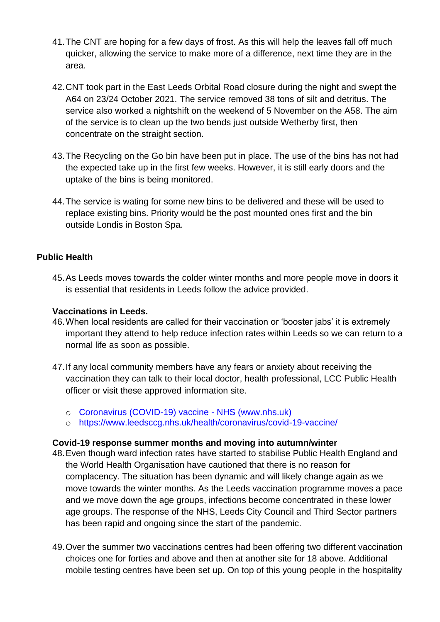- 41.The CNT are hoping for a few days of frost. As this will help the leaves fall off much quicker, allowing the service to make more of a difference, next time they are in the area.
- 42.CNT took part in the East Leeds Orbital Road closure during the night and swept the A64 on 23/24 October 2021. The service removed 38 tons of silt and detritus. The service also worked a nightshift on the weekend of 5 November on the A58. The aim of the service is to clean up the two bends just outside Wetherby first, then concentrate on the straight section.
- 43.The Recycling on the Go bin have been put in place. The use of the bins has not had the expected take up in the first few weeks. However, it is still early doors and the uptake of the bins is being monitored.
- 44.The service is wating for some new bins to be delivered and these will be used to replace existing bins. Priority would be the post mounted ones first and the bin outside Londis in Boston Spa.

### **Public Health**

45.As Leeds moves towards the colder winter months and more people move in doors it is essential that residents in Leeds follow the advice provided.

#### **Vaccinations in Leeds.**

- 46.When local residents are called for their vaccination or 'booster jabs' it is extremely important they attend to help reduce infection rates within Leeds so we can return to a normal life as soon as possible.
- 47.If any local community members have any fears or anxiety about receiving the vaccination they can talk to their local doctor, health professional, LCC Public Health officer or visit these approved information site.
	- o [Coronavirus \(COVID-19\) vaccine -](https://www.nhs.uk/conditions/coronavirus-covid-19/coronavirus-vaccination/coronavirus-vaccine/?utm_campaign=coronavirus_grants&utm_medium=paid_searchl&utm_source=google&utm_content=keyword&gclid=CjwKCAjwmv-DBhAMEiwA7xYrdz-Zvq6b2aKRZVvtkvxZr96fU7Ny6TGyiwTuPuS-nRDhjR6_Svl_XRoCpT4QAvD_BwE) NHS (www.nhs.uk)
	- o <https://www.leedsccg.nhs.uk/health/coronavirus/covid-19-vaccine/>

#### **Covid-19 response summer months and moving into autumn/winter**

- 48.Even though ward infection rates have started to stabilise Public Health England and the World Health Organisation have cautioned that there is no reason for complacency. The situation has been dynamic and will likely change again as we move towards the winter months. As the Leeds vaccination programme moves a pace and we move down the age groups, infections become concentrated in these lower age groups. The response of the NHS, Leeds City Council and Third Sector partners has been rapid and ongoing since the start of the pandemic.
- 49.Over the summer two vaccinations centres had been offering two different vaccination choices one for forties and above and then at another site for 18 above. Additional mobile testing centres have been set up. On top of this young people in the hospitality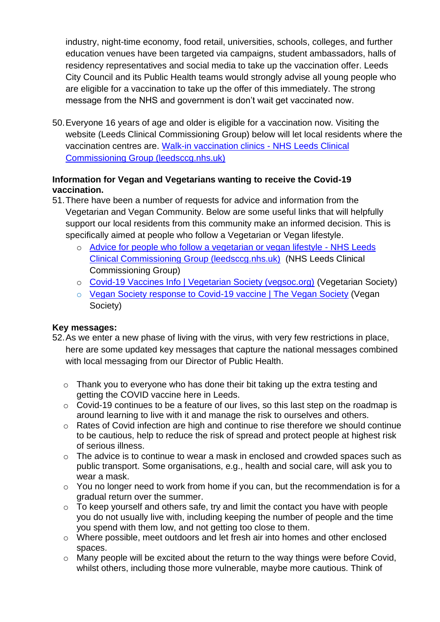industry, night-time economy, food retail, universities, schools, colleges, and further education venues have been targeted via campaigns, student ambassadors, halls of residency representatives and social media to take up the vaccination offer. Leeds City Council and its Public Health teams would strongly advise all young people who are eligible for a vaccination to take up the offer of this immediately. The strong message from the NHS and government is don't wait get vaccinated now.

50.Everyone 16 years of age and older is eligible for a vaccination now. Visiting the website (Leeds Clinical Commissioning Group) below will let local residents where the vaccination centres are. [Walk-in vaccination clinics -](https://www.leedsccg.nhs.uk/health/coronavirus/covid-19-vaccine/walk-in-clinics/) NHS Leeds Clinical [Commissioning Group \(leedsccg.nhs.uk\)](https://www.leedsccg.nhs.uk/health/coronavirus/covid-19-vaccine/walk-in-clinics/)

# **Information for Vegan and Vegetarians wanting to receive the Covid-19 vaccination.**

- 51.There have been a number of requests for advice and information from the Vegetarian and Vegan Community. Below are some useful links that will helpfully support our local residents from this community make an informed decision. This is specifically aimed at people who follow a Vegetarian or Vegan lifestyle.
	- o [Advice for people who follow a vegetarian or vegan lifestyle -](https://www.leedsccg.nhs.uk/health/coronavirus/covid-19-vaccine/information-for-local-communities-about-covid-19-vaccine/advice-for-people-who-follow-a-vegetarian-or-vegan-lifestyle/) NHS Leeds [Clinical Commissioning Group \(leedsccg.nhs.uk\)](https://www.leedsccg.nhs.uk/health/coronavirus/covid-19-vaccine/information-for-local-communities-about-covid-19-vaccine/advice-for-people-who-follow-a-vegetarian-or-vegan-lifestyle/) (NHS Leeds Clinical Commissioning Group)
	- o [Covid-19 Vaccines Info | Vegetarian Society \(vegsoc.org\)](https://vegsoc.org/lifestyle/covid-19-vaccines/) (Vegetarian Society)
	- o [Vegan Society response to Covid-19 vaccine | The Vegan Society](https://www.vegansociety.com/news/news/vegan-society-response-covid-19-vaccine) (Vegan Society)

# **Key messages:**

- 52.As we enter a new phase of living with the virus, with very few restrictions in place, here are some updated key messages that capture the national messages combined with local messaging from our Director of Public Health.
	- o Thank you to everyone who has done their bit taking up the extra testing and getting the COVID vaccine here in Leeds.
	- o Covid-19 continues to be a feature of our lives, so this last step on the roadmap is around learning to live with it and manage the risk to ourselves and others.
	- o Rates of Covid infection are high and continue to rise therefore we should continue to be cautious, help to reduce the risk of spread and protect people at highest risk of serious illness.
	- o The advice is to continue to wear a mask in enclosed and crowded spaces such as public transport. Some organisations, e.g., health and social care, will ask you to wear a mask.
	- o You no longer need to work from home if you can, but the recommendation is for a gradual return over the summer.
	- $\circ$  To keep yourself and others safe, try and limit the contact you have with people you do not usually live with, including keeping the number of people and the time you spend with them low, and not getting too close to them.
	- o Where possible, meet outdoors and let fresh air into homes and other enclosed spaces.
	- o Many people will be excited about the return to the way things were before Covid, whilst others, including those more vulnerable, maybe more cautious. Think of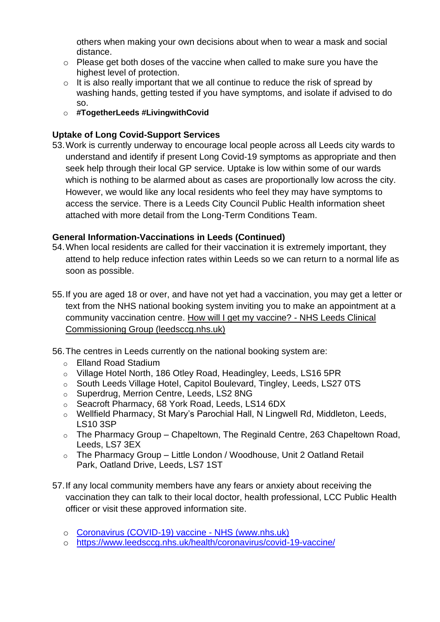others when making your own decisions about when to wear a mask and social distance.

- o Please get both doses of the vaccine when called to make sure you have the highest level of protection.
- $\circ$  It is also really important that we all continue to reduce the risk of spread by washing hands, getting tested if you have symptoms, and isolate if advised to do so.
- o **#TogetherLeeds #LivingwithCovid**

# **Uptake of Long Covid-Support Services**

53.Work is currently underway to encourage local people across all Leeds city wards to understand and identify if present Long Covid-19 symptoms as appropriate and then seek help through their local GP service. Uptake is low within some of our wards which is nothing to be alarmed about as cases are proportionally low across the city. However, we would like any local residents who feel they may have symptoms to access the service. There is a Leeds City Council Public Health information sheet attached with more detail from the Long-Term Conditions Team.

# **General Information-Vaccinations in Leeds (Continued)**

- 54.When local residents are called for their vaccination it is extremely important, they attend to help reduce infection rates within Leeds so we can return to a normal life as soon as possible.
- 55.If you are aged 18 or over, and have not yet had a vaccination, you may get a letter or text from the NHS national booking system inviting you to make an appointment at a community vaccination centre. [How will I get my vaccine? -](https://www.leedsccg.nhs.uk/health/coronavirus/covid-19-vaccine/how-will-i-get-my-vaccine/) NHS Leeds Clinical [Commissioning Group \(leedsccg.nhs.uk\)](https://www.leedsccg.nhs.uk/health/coronavirus/covid-19-vaccine/how-will-i-get-my-vaccine/)
- 56.The centres in Leeds currently on the national booking system are:
	- o Elland Road Stadium
	- o Village Hotel North, 186 Otley Road, Headingley, Leeds, LS16 5PR
	- o South Leeds Village Hotel, Capitol Boulevard, Tingley, Leeds, LS27 0TS
	- o Superdrug, Merrion Centre, Leeds, LS2 8NG
	- o Seacroft Pharmacy, 68 York Road, Leeds, LS14 6DX
	- o Wellfield Pharmacy, St Mary's Parochial Hall, N Lingwell Rd, Middleton, Leeds, LS10 3SP
	- $\circ$  The Pharmacy Group Chapeltown, The Reginald Centre, 263 Chapeltown Road, Leeds, LS7 3EX
	- o The Pharmacy Group Little London / Woodhouse, Unit 2 Oatland Retail Park, Oatland Drive, Leeds, LS7 1ST
- 57.If any local community members have any fears or anxiety about receiving the vaccination they can talk to their local doctor, health professional, LCC Public Health officer or visit these approved information site.
	- o [Coronavirus \(COVID-19\) vaccine -](https://www.nhs.uk/conditions/coronavirus-covid-19/coronavirus-vaccination/coronavirus-vaccine/?utm_campaign=coronavirus_grants&utm_medium=paid_searchl&utm_source=google&utm_content=keyword&gclid=CjwKCAjwmv-DBhAMEiwA7xYrdz-Zvq6b2aKRZVvtkvxZr96fU7Ny6TGyiwTuPuS-nRDhjR6_Svl_XRoCpT4QAvD_BwE) NHS (www.nhs.uk)
	- o <https://www.leedsccg.nhs.uk/health/coronavirus/covid-19-vaccine/>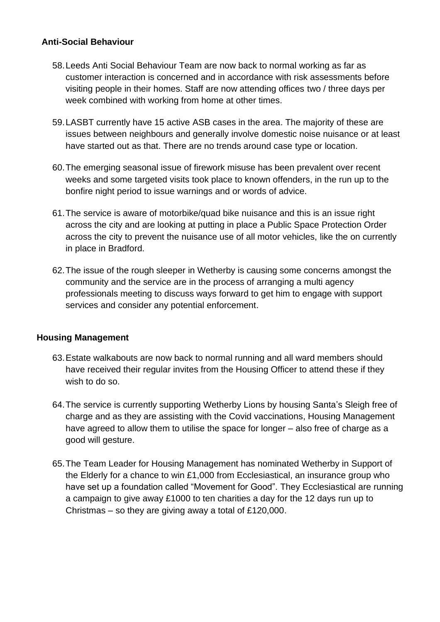# **Anti-Social Behaviour**

- 58.Leeds Anti Social Behaviour Team are now back to normal working as far as customer interaction is concerned and in accordance with risk assessments before visiting people in their homes. Staff are now attending offices two / three days per week combined with working from home at other times.
- 59.LASBT currently have 15 active ASB cases in the area. The majority of these are issues between neighbours and generally involve domestic noise nuisance or at least have started out as that. There are no trends around case type or location.
- 60.The emerging seasonal issue of firework misuse has been prevalent over recent weeks and some targeted visits took place to known offenders, in the run up to the bonfire night period to issue warnings and or words of advice.
- 61.The service is aware of motorbike/quad bike nuisance and this is an issue right across the city and are looking at putting in place a Public Space Protection Order across the city to prevent the nuisance use of all motor vehicles, like the on currently in place in Bradford.
- 62.The issue of the rough sleeper in Wetherby is causing some concerns amongst the community and the service are in the process of arranging a multi agency professionals meeting to discuss ways forward to get him to engage with support services and consider any potential enforcement.

# **Housing Management**

- 63.Estate walkabouts are now back to normal running and all ward members should have received their regular invites from the Housing Officer to attend these if they wish to do so.
- 64.The service is currently supporting Wetherby Lions by housing Santa's Sleigh free of charge and as they are assisting with the Covid vaccinations, Housing Management have agreed to allow them to utilise the space for longer – also free of charge as a good will gesture.
- 65.The Team Leader for Housing Management has nominated Wetherby in Support of the Elderly for a chance to win £1,000 from Ecclesiastical, an insurance group who have set up a foundation called "Movement for Good". They Ecclesiastical are running a campaign to give away £1000 to ten charities a day for the 12 days run up to Christmas – so they are giving away a total of £120,000.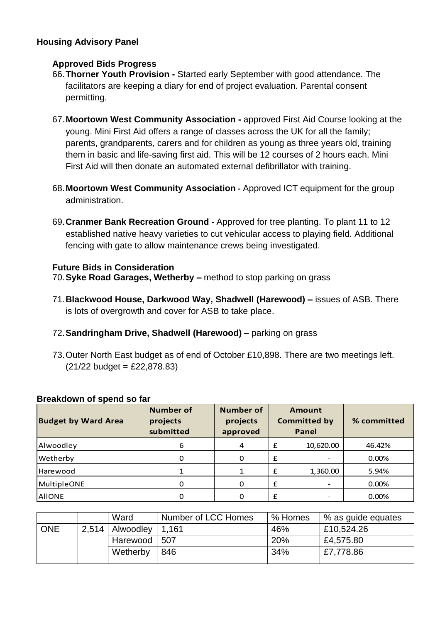# **Housing Advisory Panel**

# **Approved Bids Progress**

- 66.**Thorner Youth Provision -** Started early September with good attendance. The facilitators are keeping a diary for end of project evaluation. Parental consent permitting.
- 67.**Moortown West Community Association -** approved First Aid Course looking at the young. Mini First Aid offers a range of classes across the UK for all the family; parents, grandparents, carers and for children as young as three years old, training them in basic and life-saving first aid. This will be 12 courses of 2 hours each. Mini First Aid will then donate an automated external defibrillator with training.
- 68.**Moortown West Community Association -** Approved ICT equipment for the group administration.
- 69.**Cranmer Bank Recreation Ground -** Approved for tree planting. To plant 11 to 12 established native heavy varieties to cut vehicular access to playing field. Additional fencing with gate to allow maintenance crews being investigated.

# **Future Bids in Consideration**

70.**Syke Road Garages, Wetherby –** method to stop parking on grass

- 71.**Blackwood House, Darkwood Way, Shadwell (Harewood) –** issues of ASB. There is lots of overgrowth and cover for ASB to take place.
- 72.**Sandringham Drive, Shadwell (Harewood) –** parking on grass
- 73.Outer North East budget as of end of October £10,898. There are two meetings left.  $(21/22$  budget = £22,878.83)

| <b>Budget by Ward Area</b> | Number of<br>projects<br>submitted | <b>Number of</b><br>projects<br>approved | Amount<br><b>Committed by</b><br>Panel | % committed |
|----------------------------|------------------------------------|------------------------------------------|----------------------------------------|-------------|
| Alwoodley                  | 6                                  | 4                                        | £<br>10,620.00                         | 46.42%      |
| Wetherby                   | 0                                  | 0                                        |                                        | 0.00%       |
| Harewood                   |                                    |                                          | 1,360.00<br>f                          | 5.94%       |
| <b>MultipleONE</b>         | O                                  | 0                                        | f                                      | 0.00%       |
| <b>AIIONE</b>              | Ω                                  | 0                                        |                                        | 0.00%       |

#### **Breakdown of spend so far**

|            | Ward              | Number of LCC Homes | % Homes | % as guide equates |
|------------|-------------------|---------------------|---------|--------------------|
| <b>ONE</b> | 2,514   Alwoodley | 1.161               | 46%     | £10,524.26         |
|            | Harewood          | 507                 | 20%     | £4,575.80          |
|            | Wetherby          | 846                 | 34%     | £7,778.86          |
|            |                   |                     |         |                    |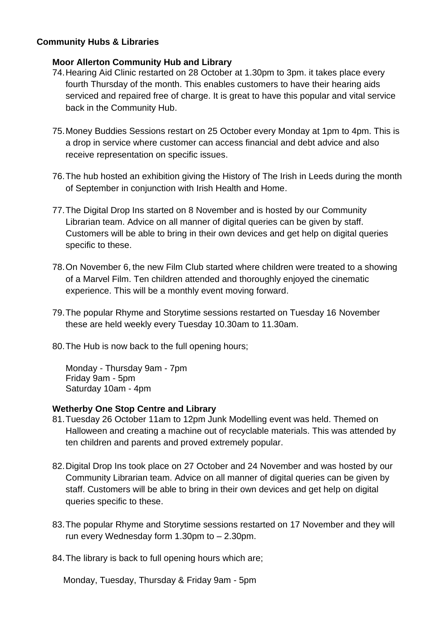### **Community Hubs & Libraries**

### **Moor Allerton Community Hub and Library**

- 74.Hearing Aid Clinic restarted on 28 October at 1.30pm to 3pm. it takes place every fourth Thursday of the month. This enables customers to have their hearing aids serviced and repaired free of charge. It is great to have this popular and vital service back in the Community Hub.
- 75.Money Buddies Sessions restart on 25 October every Monday at 1pm to 4pm. This is a drop in service where customer can access financial and debt advice and also receive representation on specific issues.
- 76.The hub hosted an exhibition giving the History of The Irish in Leeds during the month of September in conjunction with Irish Health and Home.
- 77.The Digital Drop Ins started on 8 November and is hosted by our Community Librarian team. Advice on all manner of digital queries can be given by staff. Customers will be able to bring in their own devices and get help on digital queries specific to these.
- 78.On November 6, the new Film Club started where children were treated to a showing of a Marvel Film. Ten children attended and thoroughly enjoyed the cinematic experience. This will be a monthly event moving forward.
- 79.The popular Rhyme and Storytime sessions restarted on Tuesday 16 November these are held weekly every Tuesday 10.30am to 11.30am.
- 80.The Hub is now back to the full opening hours;

Monday - Thursday 9am - 7pm Friday 9am - 5pm Saturday 10am - 4pm

#### **Wetherby One Stop Centre and Library**

- 81.Tuesday 26 October 11am to 12pm Junk Modelling event was held. Themed on Halloween and creating a machine out of recyclable materials. This was attended by ten children and parents and proved extremely popular.
- 82.Digital Drop Ins took place on 27 October and 24 November and was hosted by our Community Librarian team. Advice on all manner of digital queries can be given by staff. Customers will be able to bring in their own devices and get help on digital queries specific to these.
- 83.The popular Rhyme and Storytime sessions restarted on 17 November and they will run every Wednesday form 1.30pm to – 2.30pm.
- 84.The library is back to full opening hours which are;

Monday, Tuesday, Thursday & Friday 9am - 5pm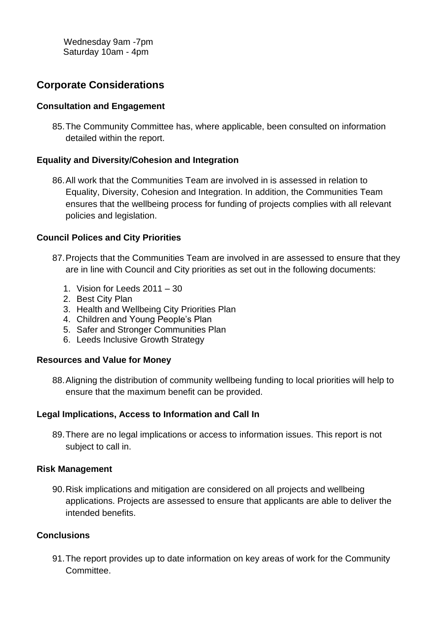Wednesday 9am -7pm Saturday 10am - 4pm

# **Corporate Considerations**

### **Consultation and Engagement**

85.The Community Committee has, where applicable, been consulted on information detailed within the report.

### **Equality and Diversity/Cohesion and Integration**

86.All work that the Communities Team are involved in is assessed in relation to Equality, Diversity, Cohesion and Integration. In addition, the Communities Team ensures that the wellbeing process for funding of projects complies with all relevant policies and legislation.

### **Council Polices and City Priorities**

- 87.Projects that the Communities Team are involved in are assessed to ensure that they are in line with Council and City priorities as set out in the following documents:
	- 1. Vision for Leeds 2011 30
	- 2. Best City Plan
	- 3. Health and Wellbeing City Priorities Plan
	- 4. Children and Young People's Plan
	- 5. Safer and Stronger Communities Plan
	- 6. Leeds Inclusive Growth Strategy

#### **Resources and Value for Money**

88.Aligning the distribution of community wellbeing funding to local priorities will help to ensure that the maximum benefit can be provided.

# **Legal Implications, Access to Information and Call In**

89.There are no legal implications or access to information issues. This report is not subject to call in.

#### **Risk Management**

90.Risk implications and mitigation are considered on all projects and wellbeing applications. Projects are assessed to ensure that applicants are able to deliver the intended benefits.

# **Conclusions**

91.The report provides up to date information on key areas of work for the Community Committee.